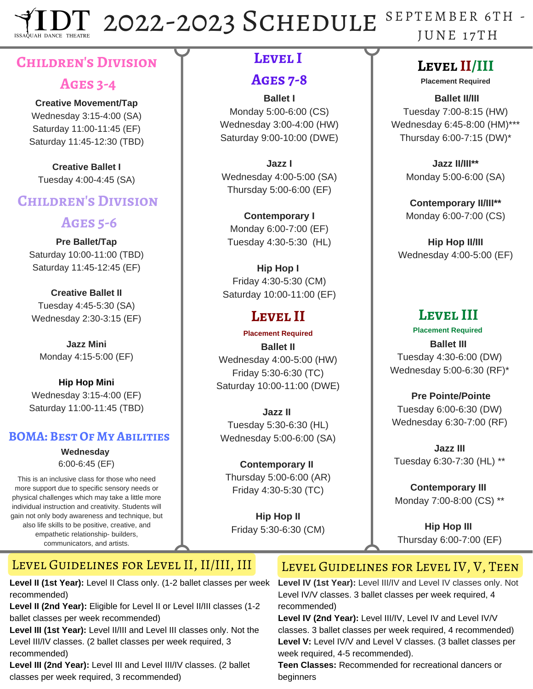2022-2023 SCHEDULE SEPTEMBER 6TH -JU N E 1 7 TH **AH DANCE THEATR** 

## **Children's Division**

#### **Ages 3-4**

#### **Creative Movement/Tap**

Wednesday 3:15-4:00 (SA) Saturday 11:00-11:45 (EF) Saturday 11:45-12:30 (TBD)

**Creative Ballet I** Tuesday 4:00-4:45 (SA)

#### **Children's Division**

#### **Ages 5-6**

**Pre Ballet/Tap** Saturday 10:00-11:00 (TBD) Saturday 11:45-12:45 (EF)

**Creative Ballet II** Tuesday 4:45-5:30 (SA) Wednesday 2:30-3:15 (EF)

**Jazz Mini** Monday 4:15-5:00 (EF)

**Hip Hop Mini** Wednesday 3:15-4:00 (EF) Saturday 11:00-11:45 (TBD)

#### **BOMA: Best Of My Abilities**

**Wednesday** 6:00-6:45 (EF)

This is an inclusive class for those who need more support due to specific sensory needs or physical challenges which may take a little more individual instruction and creativity. Students will gain not only body awareness and technique, but also life skills to be positive, creative, and empathetic relationship- builders, communicators, and artists.

### **Level I**

#### **Ages 7-8**

**Ballet I** Monday 5:00-6:00 (CS) Wednesday 3:00-4:00 (HW) Saturday 9:00-10:00 (DWE)

**Jazz I** Wednesday 4:00-5:00 (SA) Thursday 5:00-6:00 (EF)

**Contemporary I** Monday 6:00-7:00 (EF) Tuesday 4:30-5:30 (HL)

**Hip Hop I** Friday 4:30-5:30 (CM) Saturday 10:00-11:00 (EF)

# **Level II**

**Ballet II** Wednesday 4:00-5:00 (HW) Friday 5:30-6:30 (TC) Saturday 10:00-11:00 (DWE) **Placement Required**

**Jazz II** Tuesday 5:30-6:30 (HL) Wednesday 5:00-6:00 (SA)

**Contemporary II** Thursday 5:00-6:00 (AR) Friday 4:30-5:30 (TC)

**Hip Hop II** Friday 5:30-6:30 (CM)

# **Level II/III**

**Placement Required**

**Ballet II/III** Tuesday 7:00-8:15 (HW) Wednesday 6:45-8:00 (HM)\*\*\* Thursday 6:00-7:15 (DW)\*

> **Jazz II/III\*\*** Monday 5:00-6:00 (SA)

> **Contemporary II/III\*\*** Monday 6:00-7:00 (CS)

**Hip Hop II/III** Wednesday 4:00-5:00 (EF)

# **Level III**

#### **Placement Required Ballet III** Tuesday 4:30-6:00 (DW)

Wednesday 5:00-6:30 (RF)\*

**Pre Pointe/Pointe** Tuesday 6:00-6:30 (DW) Wednesday 6:30-7:00 (RF)

**Jazz III** Tuesday 6:30-7:30 (HL) \*\*

**Contemporary III** Monday 7:00-8:00 (CS) \*\*

**Hip Hop III** Thursday 6:00-7:00 (EF)

### Level Guidelines for Level II, II/III, III

**Level II (1st Year):** Level II Class only. (1-2 ballet classes per week recommended)

**Level II (2nd Year):** Eligible for Level II or Level II/III classes (1-2 ballet classes per week recommended)

**Level III (1st Year):** Level II/III and Level III classes only. Not the Level III/IV classes. (2 ballet classes per week required, 3 recommended)

**Level III (2nd Year):** Level III and Level III/IV classes. (2 ballet classes per week required, 3 recommended)

# LEVEL GUIDELINES FOR LEVEL IV, V, TEEN

**Level IV (1st Year):** Level III/IV and Level IV classes only. Not Level IV/V classes. 3 ballet classes per week required, 4 recommended)

**Level IV (2nd Year):** Level III/IV, Level IV and Level IV/V classes. 3 ballet classes per week required, 4 recommended) **Level V:** Level IV/V and Level V classes. (3 ballet classes per week required, 4-5 recommended).

**Teen Classes:** Recommended for recreational dancers or beginners